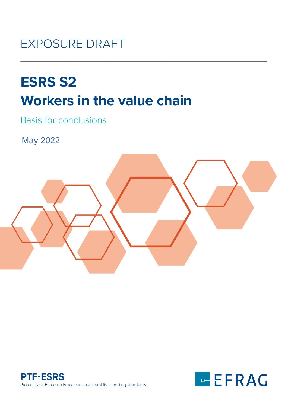# **EXPOSURE DRAFT**

# **ESRS S2**<br>Workers in the value chain

**Basis for conclusions** 

May 2022





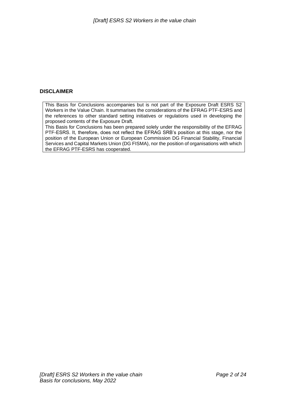#### **DISCLAIMER**

This Basis for Conclusions accompanies but is not part of the Exposure Draft ESRS S2 Workers in the Value Chain. It summarises the considerations of the EFRAG PTF-ESRS and the references to other standard setting initiatives or regulations used in developing the proposed contents of the Exposure Draft.

This Basis for Conclusions has been prepared solely under the responsibility of the EFRAG PTF-ESRS. It, therefore, does not reflect the EFRAG SRB's position at this stage, nor the position of the European Union or European Commission DG Financial Stability, Financial Services and Capital Markets Union (DG FISMA), nor the position of organisations with which the EFRAG PTF-ESRS has cooperated.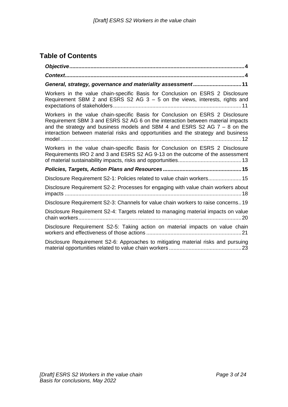# **Table of Contents**

| General, strategy, governance and materiality assessment11                                                                                                                                                                                                                                                                            |
|---------------------------------------------------------------------------------------------------------------------------------------------------------------------------------------------------------------------------------------------------------------------------------------------------------------------------------------|
| Workers in the value chain-specific Basis for Conclusion on ESRS 2 Disclosure<br>Requirement SBM 2 and ESRS S2 AG $3 - 5$ on the views, interests, rights and                                                                                                                                                                         |
| Workers in the value chain-specific Basis for Conclusion on ESRS 2 Disclosure<br>Requirement SBM 3 and ESRS S2 AG 6 on the interaction between material impacts<br>and the strategy and business models and SBM 4 and ESRS S2 AG $7 - 8$ on the<br>interaction between material risks and opportunities and the strategy and business |
| Workers in the value chain-specific Basis for Conclusion on ESRS 2 Disclosure<br>Requirements IRO 2 and 3 and ESRS S2 AG 9-13 on the outcome of the assessment                                                                                                                                                                        |
|                                                                                                                                                                                                                                                                                                                                       |
| Disclosure Requirement S2-1: Policies related to value chain workers 15                                                                                                                                                                                                                                                               |
| Disclosure Requirement S2-2: Processes for engaging with value chain workers about                                                                                                                                                                                                                                                    |
| Disclosure Requirement S2-3: Channels for value chain workers to raise concerns19                                                                                                                                                                                                                                                     |
| Disclosure Requirement S2-4: Targets related to managing material impacts on value                                                                                                                                                                                                                                                    |
| Disclosure Requirement S2-5: Taking action on material impacts on value chain                                                                                                                                                                                                                                                         |
| Disclosure Requirement S2-6: Approaches to mitigating material risks and pursuing                                                                                                                                                                                                                                                     |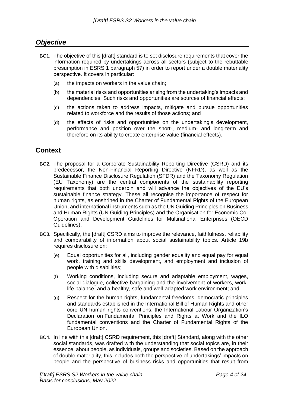### <span id="page-3-0"></span>*Objective*

- BC1. The objective of this [draft] standard is to set disclosure requirements that cover the information required by undertakings across all sectors (subject to the rebuttable presumption in ESRS 1 paragraph 57) in order to report under a double materiality perspective. It covers in particular:
	- (a) the impacts on workers in the value chain;
	- (b) the material risks and opportunities arising from the undertaking's impacts and dependencies. Such risks and opportunities are sources of financial effects;
	- (c) the actions taken to address impacts, mitigate and pursue opportunities related to workforce and the results of those actions; and
	- (d) the effects of risks and opportunities on the undertaking's development, performance and position over the short-, medium- and long-term and therefore on its ability to create enterprise value (financial effects).

## <span id="page-3-1"></span>**Context**

- BC2. The proposal for a Corporate Sustainability Reporting Directive (CSRD) and its predecessor, the Non-Financial Reporting Directive (NFRD), as well as the Sustainable Finance Disclosure Regulation (SFDR) and the Taxonomy Regulation (EU Taxonomy) are the central components of the sustainability reporting requirements that both underpin and will advance the objectives of the EU's sustainable finance strategy. These all recognise the importance of respect for human rights, as enshrined in the Charter of Fundamental Rights of the European Union, and international instruments such as the UN Guiding Principles on Business and Human Rights (UN Guiding Principles) and the Organisation for Economic Co-Operation and Development Guidelines for Multinational Enterprises (OECD Guidelines).
- BC3. Specifically, the [draft] CSRD aims to improve the relevance, faithfulness, reliability and comparability of information about social sustainability topics. Article 19b requires disclosure on:
	- (e) Equal opportunities for all, including gender equality and equal pay for equal work, training and skills development, and employment and inclusion of people with disabilities;
	- (f) Working conditions, including secure and adaptable employment, wages, social dialogue, collective bargaining and the involvement of workers, worklife balance, and a healthy, safe and well-adapted work environment; and
	- (g) Respect for the human rights, fundamental freedoms, democratic principles and standards established in the International Bill of Human Rights and other core UN human rights conventions, the International Labour Organization's Declaration on Fundamental Principles and Rights at Work and the ILO fundamental conventions and the Charter of Fundamental Rights of the European Union.
- BC4. In line with this [draft] CSRD requirement, this [draft] Standard, along with the other social standards, was drafted with the understanding that social topics are, in their essence, about people, as individuals, groups and societies. Based on the approach of double materiality, this includes both the perspective of undertakings' impacts on people and the perspective of business risks and opportunities that result from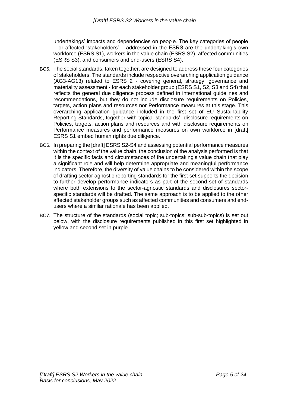undertakings' impacts and dependencies on people. The key categories of people – or affected 'stakeholders' – addressed in the ESRS are the undertaking's own workforce (ESRS S1), workers in the value chain (ESRS S2), affected communities (ESRS S3), and consumers and end-users (ESRS S4).

- BC5. The social standards, taken together, are designed to address these four categories of stakeholders. The standards include respective overarching application guidance (AG3-AG13) related to ESRS 2 - covering general, strategy, governance and materiality assessment - for each stakeholder group (ESRS S1, S2, S3 and S4) that reflects the general due diligence process defined in international guidelines and recommendations, but they do not include disclosure requirements on Policies, targets, action plans and resources nor Performance measures at this stage. This overarching application guidance included in the first set of EU Sustainability Reporting Standards, together with topical standards' disclosure requirements on Policies, targets, action plans and resources and with disclosure requirements on Performance measures and performance measures on own workforce in [draft] ESRS S1 embed human rights due diligence.
- BC6. In preparing the [draft] ESRS S2-S4 and assessing potential performance measures within the context of the value chain, the conclusion of the analysis performed is that it is the specific facts and circumstances of the undertaking's value chain that play a significant role and will help determine appropriate and meaningful performance indicators. Therefore, the diversity of value chains to be considered within the scope of drafting sector agnostic reporting standards for the first set supports the decision to further develop performance indicators as part of the second set of standards where both extensions to the sector-agnostic standards and disclosures sectorspecific standards will be drafted. The same approach is to be applied to the other affected stakeholder groups such as affected communities and consumers and endusers where a similar rationale has been applied.
- BC7. The structure of the standards (social topic; sub-topics; sub-sub-topics) is set out below, with the disclosure requirements published in this first set highlighted in yellow and second set in purple.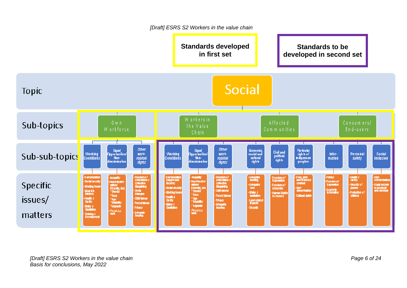*[Draft] ESRS S2 Workers in the value chain*

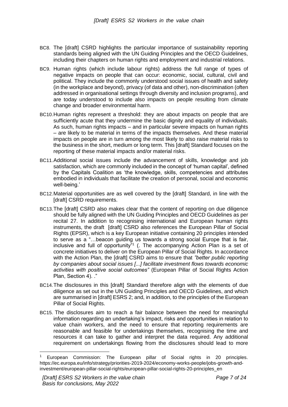- BC8. The [draft] CSRD highlights the particular importance of sustainability reporting standards being aligned with the UN Guiding Principles and the OECD Guidelines, including their chapters on human rights and employment and industrial relations.
- BC9. Human rights (which include labour rights) address the full range of types of negative impacts on people that can occur: economic, social, cultural, civil and political. They include the commonly understood social issues of health and safety (in the workplace and beyond), privacy (of data and other), non-discrimination (often addressed in organisational settings through diversity and inclusion programs), and are today understood to include also impacts on people resulting from climate change and broader environmental harm.
- BC10.Human rights represent a threshold: they are about impacts on people that are sufficiently acute that they undermine the basic dignity and equality of individuals. As such, human rights impacts – and in particular severe impacts on human rights – are likely to be material in terms of the impacts themselves. And these material impacts on people are in turn among the most likely to also raise material risks to the business in the short, medium or long term. This [draft] Standard focuses on the reporting of these material impacts and/or material risks.
- BC11.Additional social issues include the advancement of skills, knowledge and job satisfaction, which are commonly included in the concept of 'human capital', defined by the Capitals Coalition as 'the knowledge, skills, competencies and attributes embodied in individuals that facilitate the creation of personal, social and economic well-being.'
- BC12.Material opportunities are as well covered by the [draft] Standard, in line with the [draft] CSRD requirements.
- BC13.The [draft] CSRD also makes clear that the content of reporting on due diligence should be fully aligned with the UN Guiding Principles and OECD Guidelines as per recital 27. In addition to recognising international and European human rights instruments, the draft [draft] CSRD also references the European Pillar of Social Rights (EPSR), which is a key European initiative containing 20 principles intended to serve as a "…beacon guiding us towards a strong social Europe that is fair, inclusive and full of opportunity"<sup>1</sup> (. The accompanying Action Plan is a set of concrete initiatives to deliver on the European Pillar of Social Rights. In accordance with the Action Plan, the [draft] CSRD aims to ensure that *"better public reporting by companies about social issues [...] facilitate investment flows towards economic activities with positive social outcomes"* (European Pillar of Social Rights Action Plan, Section 4). ."
- BC14.The disclosures in this [draft] Standard therefore align with the elements of due diligence as set out in the UN Guiding Principles and OECD Guidelines, and which are summarised in [draft] ESRS 2; and, in addition, to the principles of the European Pillar of Social Rights.
- BC15. The disclosures aim to reach a fair balance between the need for meaningful information regarding an undertaking's impact, risks and opportunities in relation to value chain workers, and the need to ensure that reporting requirements are reasonable and feasible for undertakings themselves, recognising the time and resources it can take to gather and interpret the data required. Any additional requirement on undertakings flowing from the disclosures should lead to more

European Commission: The European pillar of Social rights in 20 principles. https://ec.europa.eu/info/strategy/priorities-2019-2024/economy-works-people/jobs-growth-andinvestment/european-pillar-social-rights/european-pillar-social-rights-20-principles\_en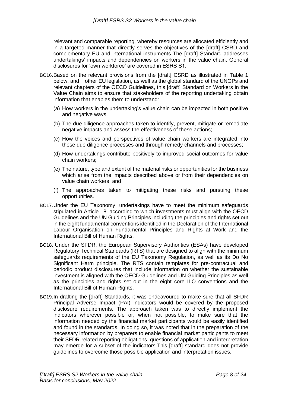relevant and comparable reporting, whereby resources are allocated efficiently and in a targeted manner that directly serves the objectives of the [draft] CSRD and complementary EU and international instruments The [draft] Standard addresses undertakings' impacts and dependencies on workers in the value chain. General disclosures for 'own workforce' are covered in ESRS S1.

- BC16.Based on the relevant provisions from the [draft] CSRD as illustrated in Table 1 below, and other EU legislation, as well as the global standard of the UNGPs and relevant chapters of the OECD Guidelines, this [draft] Standard on Workers in the Value Chain aims to ensure that stakeholders of the reporting undertaking obtain information that enables them to understand:
	- (a) How workers in the undertaking's value chain can be impacted in both positive and negative ways;
	- (b) The due diligence approaches taken to identify, prevent, mitigate or remediate negative impacts and assess the effectiveness of these actions;
	- (c) How the voices and perspectives of value chain workers are integrated into these due diligence processes and through remedy channels and processes;
	- (d) How undertakings contribute positively to improved social outcomes for value chain workers;
	- (e) The nature, type and extent of the material risks or opportunities for the business which arise from the impacts described above or from their dependencies on value chain workers; and
	- (f) The approaches taken to mitigating these risks and pursuing these opportunities.
- BC17.Under the EU Taxonomy, undertakings have to meet the minimum safeguards stipulated in Article 18, according to which investments must align with the OECD Guidelines and the UN Guiding Principles including the principles and rights set out in the eight fundamental conventions identified in the Declaration of the International Labour Organisation on Fundamental Principles and Rights at Work and the International Bill of Human Rights.
- BC18. Under the SFDR, the European Supervisory Authorities (ESAs) have developed Regulatory Technical Standards (RTS) that are designed to align with the minimum safeguards requirements of the EU Taxonomy Regulation, as well as its Do No Significant Harm principle. The RTS contain templates for pre-contractual and periodic product disclosures that include information on whether the sustainable investment is aligned with the OECD Guidelines and UN Guiding Principles as well as the principles and rights set out in the eight core ILO conventions and the International Bill of Human Rights.
- BC19.In drafting the [draft] Standards, it was endeavoured to make sure that all SFDR Principal Adverse Impact (PAI) indicators would be covered by the proposed disclosure requirements. The approach taken was to directly implement the indicators wherever possible or, when not possible, to make sure that the information needed by the financial market participants would be easily identified and found in the standards. In doing so, it was noted that in the preparation of the necessary information by preparers to enable financial market participants to meet their SFDR-related reporting obligations, questions of application and interpretation may emerge for a subset of the indicators.This [draft] standard does not provide guidelines to overcome those possible application and interpretation issues.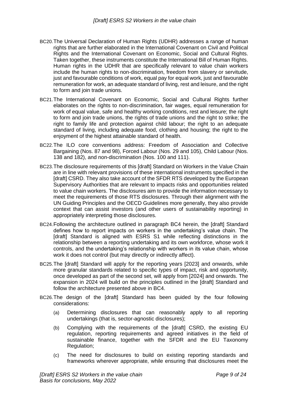- BC20.The Universal Declaration of Human Rights (UDHR) addresses a range of human rights that are further elaborated in the International Covenant on Civil and Political Rights and the International Covenant on Economic, Social and Cultural Rights. Taken together, these instruments constitute the International Bill of Human Rights. Human rights in the UDHR that are specifically relevant to value chain workers include the human rights to non-discrimination, freedom from slavery or servitude, just and favourable conditions of work, equal pay for equal work, just and favourable remuneration for work, an adequate standard of living, rest and leisure, and the right to form and join trade unions.
- BC21.The International Covenant on Economic, Social and Cultural Rights further elaborates on the rights to non-discrimination, fair wages, equal remuneration for work of equal value, safe and healthy working conditions, rest and leisure; the right to form and join trade unions, the rights of trade unions and the right to strike; the right to family life and protection against child labour; the right to an adequate standard of living, including adequate food, clothing and housing; the right to the enjoyment of the highest attainable standard of health.
- BC22.The ILO core conventions address: Freedom of Association and Collective Bargaining (Nos. 87 and 98), Forced Labour (Nos. 29 and 105), Child Labour (Nos. 138 and 182), and non-discrimination (Nos. 100 and 111).
- BC23.The disclosure requirements of this [draft] Standard on Workers in the Value Chain are in line with relevant provisions of these international instruments specified in the [draft] CSRD. They also take account of the SFDR RTS developed by the European Supervisory Authorities that are relevant to impacts risks and opportunities related to value chain workers. The disclosures aim to provide the information necessary to meet the requirements of those RTS disclosures. Through their alignment with the UN Guiding Principles and the OECD Guidelines more generally, they also provide context that can assist investors (and other users of sustainability reporting) in appropriately interpreting those disclosures.
- BC24.Following the architecture outlined in paragraph BC4 herein, the [draft] Standard defines how to report impacts on workers in the undertaking's value chain. The [draft] Standard is aligned with ESRS S1 while reflecting distinctions in the relationship between a reporting undertaking and its own workforce, whose work it controls, and the undertaking's relationship with workers in its value chain, whose work it does not control (but may directly or indirectly affect).
- BC25.The [draft] Standard will apply for the reporting years [2023] and onwards, while more granular standards related to specific types of impact, risk and opportunity, once developed as part of the second set, will apply from [2024] and onwards. The expansion in 2024 will build on the principles outlined in the [draft] Standard and follow the architecture presented above in BC4.
- BC26.The design of the [draft] Standard has been guided by the four following considerations:
	- (a) Determining disclosures that can reasonably apply to all reporting undertakings (that is, sector-agnostic disclosures);
	- (b) Complying with the requirements of the [draft] CSRD, the existing EU regulation, reporting requirements and agreed initiatives in the field of sustainable finance, together with the SFDR and the EU Taxonomy Regulation;
	- (c) The need for disclosures to build on existing reporting standards and frameworks wherever appropriate, while ensuring that disclosures meet the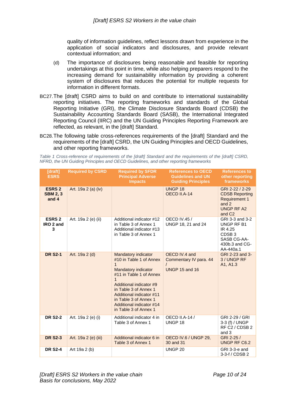quality of information guidelines, reflect lessons drawn from experience in the application of social indicators and disclosures, and provide relevant contextual information; and

- (d) The importance of disclosures being reasonable and feasible for reporting undertakings at this point in time, while also helping preparers respond to the increasing demand for sustainability information by providing a coherent system of disclosures that reduces the potential for multiple requests for information in different formats.
- BC27.The [draft] CSRD aims to build on and contribute to international sustainability reporting initiatives. The reporting frameworks and standards of the Global Reporting Initiative (GRI), the Climate Disclosure Standards Board (CDSB) the Sustainability Accounting Standards Board (SASB), the International Integrated Reporting Council (IIRC) and the UN Guiding Principles Reporting Framework are reflected, as relevant, in the [draft] Standard.
- BC28.The following table cross-references requirements of the [draft] Standard and the requirements of the [draft] CSRD, the UN Guiding Principles and OECD Guidelines, and other reporting frameworks.

*Table 1 Cross-reference of requirements of the [draft] Standard and the requirements of the [draft] CSRD, NFRD, the UN Guiding Principles and OECD Guidelines, and other reporting frameworks*

| [draft]<br><b>ESRS</b>                    | <b>Required by CSRD</b> | <b>Required by SFDR</b><br><b>Principal Adverse</b><br><b>Impacts</b>                                                                                                                                                                                                                            | <b>References to OECD</b><br><b>Guidelines and UN</b><br><b>Guiding Principles</b> | <b>References to</b><br>other reporting<br>frameworks                                                                  |
|-------------------------------------------|-------------------------|--------------------------------------------------------------------------------------------------------------------------------------------------------------------------------------------------------------------------------------------------------------------------------------------------|------------------------------------------------------------------------------------|------------------------------------------------------------------------------------------------------------------------|
| <b>ESRS 2</b><br><b>SBM 2, 3</b><br>and 4 | Art. 19a 2 (a) (iv)     |                                                                                                                                                                                                                                                                                                  | <b>UNGP18</b><br>OECD II.A-14                                                      | GRI 2-22 / 2-29<br><b>CDSB Reporting</b><br><b>Requirement 1</b><br>and $2$<br><b>UNGP RF A2</b><br>and C <sub>2</sub> |
| <b>ESRS 2</b><br>IRO 2 and<br>3           | Art. 19a 2 (e) (ii)     | Additional indicator #12<br>in Table 3 of Annex 1<br>Additional indicator #13<br>in Table 3 of Annex 1                                                                                                                                                                                           | <b>OECD IV.45 /</b><br>UNGP 18, 21 and 24                                          | GRI 3-3 and 3-2<br>UNGP RF B1<br>IR 4.25<br>CDSB <sub>3</sub><br>SASB CG-AA-<br>430b.3 and CG-<br>AA-440a.1            |
| <b>DR S2-1</b>                            | Art. 19a 2 (d)          | <b>Mandatory indicator</b><br>#10 in Table 1 of Annex<br>1<br><b>Mandatory indicator</b><br>#11 in Table 1 of Annex<br>$\mathbf 1$<br>Additional indicator #9<br>in Table 3 of Annex 1<br>Additional indicator #11<br>in Table 3 of Annex 1<br>Additional indicator #14<br>in Table 3 of Annex 1 | OECD IV.4 and<br>Commentary IV para. 44<br><b>UNGP 15 and 16</b>                   | GRI 2-23 and 3-<br>3 / UNGP RF<br>A1, A1.3                                                                             |
| <b>DR S2-2</b>                            | Art. 19a 2 (e) (i)      | Additional indicator 4 in<br>Table 3 of Annex 1                                                                                                                                                                                                                                                  | <b>OECD II.A-14 /</b><br>UNGP 18                                                   | GRI 2-29 / GRI<br>3-3 (f) / UNGP<br>RF C <sub>2</sub> / CDSB 2<br>and 3                                                |
| <b>DR S2-3</b>                            | Art. 19a 2 (e) (iii)    | Additional indicator 6 in<br>Table 3 of Annex 1                                                                                                                                                                                                                                                  | OECD IV.6 / UNGP 29,<br>30 and 31                                                  | GRI 2-25 /<br><b>UNGP RF C6.2</b>                                                                                      |
| <b>DR S2-4</b>                            | Art 19a 2 (b)           |                                                                                                                                                                                                                                                                                                  | UNGP <sub>20</sub>                                                                 | GRI 3-3-e and<br>3-3-f / CDSB 2                                                                                        |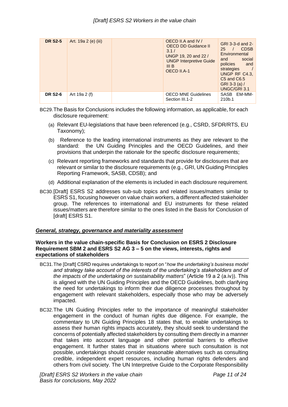| <b>DR S2-5</b> | Art. 19a 2 (e) (iii) | OECD II.A and IV /<br>3.1/<br>III <sub>B</sub><br>OECD II.A-1 | GRI 3-3-d and 2-<br><b>OECD DD Guidance II</b><br><b>CDSB</b><br>25<br>Environmental<br>UNGP 19, 20 and 22 /<br>social<br>and<br><b>UNGP Interpretive Guide</b><br>policies<br>and<br>strategies<br>UNGP RF C4.3,<br>C5 and C6.5<br>GRI 3-3 (a) $/$<br>UNGC/GRI 3.1 |  |
|----------------|----------------------|---------------------------------------------------------------|---------------------------------------------------------------------------------------------------------------------------------------------------------------------------------------------------------------------------------------------------------------------|--|
| <b>DR S2-6</b> | Art 19a 2 (f)        | Section III.1-2                                               | <b>OECD MNE Guidelines</b><br>EM-MM-<br>SASB<br>210b.1                                                                                                                                                                                                              |  |

BC29.The Basis for Conclusions includes the following information, as applicable, for each disclosure requirement:

- (a) Relevant EU-legislations that have been referenced (e.g., CSRD, SFDR/RTS, EU Taxonomy);
- (b) Reference to the leading international instruments as they are relevant to the standard: the UN Guiding Principles and the OECD Guidelines, and their provisions that underpin the rationale for the specific disclosure requirements;
- (c) Relevant reporting frameworks and standards that provide for disclosures that are relevant or similar to the disclosure requirements (e.g., GRI, UN Guiding Principles Reporting Framework, SASB, CDSB); and
- (d) Additional explanation of the elements is included in each disclosure requirement.
- BC30.[Draft] ESRS S2 addresses sub-sub topics and related issues/matters similar to ESRS S1, focusing however on value chain workers, a different affected stakeholder group. The references to international and EU instruments for these related issues/matters are therefore similar to the ones listed in the Basis for Conclusion of [draft] ESRS S1.

#### <span id="page-10-0"></span>*General, strategy, governance and materiality assessment*

#### <span id="page-10-1"></span>**Workers in the value chain-specific Basis for Conclusion on ESRS 2 Disclosure Requirement SBM 2 and ESRS S2 AG 3 – 5 on the views, interests, rights and expectations of stakeholders**

- BC31.The [Draft] CSRD requires undertakings to report on "*how the undertaking's business model and strategy take account of the interests of the undertaking's stakeholders and of the impacts of the undertaking on sustainability matters*" (Article 19 a 2 (a.iv)). This is aligned with the UN Guiding Principles and the OECD Guidelines, both clarifying the need for undertakings to inform their due diligence processes throughout by engagement with relevant stakeholders, especially those who may be adversely impacted.
- BC32.The UN Guiding Principles refer to the importance of meaningful stakeholder engagement in the conduct of human rights due diligence. For example, the commentary to UN Guiding Principles 18 states that, to enable undertakings to assess their human rights impacts accurately, they should seek to understand the concerns of potentially affected stakeholders by consulting them directly in a manner that takes into account language and other potential barriers to effective engagement. It further states that in situations where such consultation is not possible, undertakings should consider reasonable alternatives such as consulting credible, independent expert resources, including human rights defenders and others from civil society. The UN Interpretive Guide to the Corporate Responsibility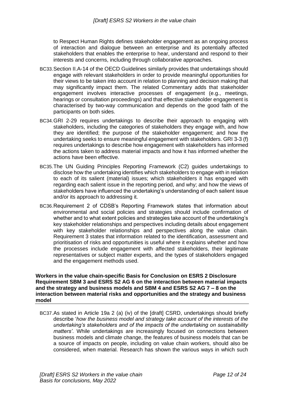to Respect Human Rights defines stakeholder engagement as an ongoing process of interaction and dialogue between an enterprise and its potentially affected stakeholders that enables the enterprise to hear, understand and respond to their interests and concerns, including through collaborative approaches.

- BC33.Section II.A-14 of the OECD Guidelines similarly provides that undertakings should engage with relevant stakeholders in order to provide meaningful opportunities for their views to be taken into account in relation to planning and decision making that may significantly impact them. The related Commentary adds that stakeholder engagement involves interactive processes of engagement (e.g., meetings, hearings or consultation proceedings) and that effective stakeholder engagement is characterised by two-way communication and depends on the good faith of the participants on both sides.
- BC34.GRI 2-29 requires undertakings to describe their approach to engaging with stakeholders, including the categories of stakeholders they engage with, and how they are identified; the purpose of the stakeholder engagement; and how the undertaking seeks to ensure meaningful engagement with stakeholders. GRI 3-3 (f) requires undertakings to describe how engagement with stakeholders has informed the actions taken to address material impacts and how it has informed whether the actions have been effective.
- BC35.The UN Guiding Principles Reporting Framework (C2) guides undertakings to disclose how the undertaking identifies which stakeholders to engage with in relation to each of its salient (material) issues; which stakeholders it has engaged with regarding each salient issue in the reporting period, and why; and how the views of stakeholders have influenced the undertaking's understanding of each salient issue and/or its approach to addressing it.
- BC36.Requirement 2 of CDSB's Reporting Framework states that information about environmental and social policies and strategies should include confirmation of whether and to what extent policies and strategies take account of the undertaking's key stakeholder relationships and perspectives including details about engagement with key stakeholder relationships and perspectives along the value chain. Requirement 3 states that information related to the identification, assessment and prioritisation of risks and opportunities is useful where it explains whether and how the processes include engagement with affected stakeholders, their legitimate representatives or subject matter experts, and the types of stakeholders engaged and the engagement methods used.

#### <span id="page-11-0"></span>**Workers in the value chain-specific Basis for Conclusion on ESRS 2 Disclosure Requirement SBM 3 and ESRS S2 AG 6 on the interaction between material impacts and the strategy and business models and SBM 4 and ESRS S2 AG 7 – 8 on the interaction between material risks and opportunities and the strategy and business model**

BC37.As stated in Article 19a 2 (a) (iv) of the [draft] CSRD, undertakings should briefly describe '*how the business model and strategy take account of the interests of the undertaking's stakeholders and of the impacts of the undertaking on sustainability matters'*. While undertakings are increasingly focused on connections between business models and climate change, the features of business models that can be a source of impacts on people, including on value chain workers, should also be considered, when material. Research has shown the various ways in which such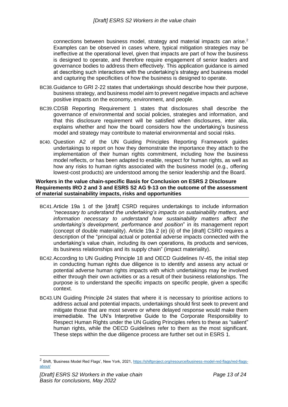connections between business model, strategy and material impacts can arise.<sup>2</sup> Examples can be observed in cases where, typical mitigation strategies may be ineffective at the operational level, given that impacts are part of how the business is designed to operate, and therefore require engagement of senior leaders and governance bodies to address them effectively. This application guidance is aimed at describing such interactions with the undertaking's strategy and business model and capturing the specificities of how the business is designed to operate.

- BC38.Guidance to GRI 2-22 states that undertakings should describe how their purpose, business strategy, and business model aim to prevent negative impacts and achieve positive impacts on the economy, environment, and people.
- BC39.CDSB Reporting Requirement 1 states that disclosures shall describe the governance of environmental and social policies, strategies and information, and that this disclosure requirement will be satisfied when disclosures, inter alia, explains whether and how the board considers how the undertaking's business model and strategy may contribute to material environmental and social risks.
- BC40. Question A2 of the UN Guiding Principles Reporting Framework guides undertakings to report on how they demonstrate the importance they attach to the implementation of their human rights commitment, including how the business model reflects, or has been adapted to enable, respect for human rights, as well as how any risks to human rights associated with the business model (e.g., offering lowest-cost products) are understood among the senior leadership and the Board.

#### <span id="page-12-0"></span>**Workers in the value chain-specific Basis for Conclusion on ESRS 2 Disclosure Requirements IRO 2 and 3 and ESRS S2 AG 9-13 on the outcome of the assessment of material sustainability impacts, risks and opportunities**

- BC41.Article 19a 1 of the [draft] CSRD requires undertakings to include information *"necessary to understand the undertaking's impacts on sustainability matters, and information necessary to understand how sustainability matters affect the undertaking's development, performance and position*" in its management report (concept of double materiality). Article 19a 2 (e) (ii) of the [draft] CSRD requires a description of the "principal actual or potential adverse impacts connected with the undertaking's value chain, including its own operations, its products and services, its business relationships and its supply chain" (impact materiality).
- BC42.According to UN Guiding Principle 18 and OECD Guidelines IV-45, the initial step in conducting human rights due diligence is to identify and assess any actual or potential adverse human rights impacts with which undertakings may be involved either through their own activities or as a result of their business relationships. The purpose is to understand the specific impacts on specific people, given a specific context.
- BC43.UN Guiding Principle 24 states that where it is necessary to prioritise actions to address actual and potential impacts, undertakings should first seek to prevent and mitigate those that are most severe or where delayed response would make them irremediable. The UN's Interpretive Guide to the Corporate Responsibility to Respect Human Rights under the UN Guiding Principles refers to these as "salient" human rights, while the OECD Guidelines refer to them as the most significant. These steps within the due diligence process are further set out in ESRS 1.

<sup>&</sup>lt;sup>2</sup> Shift, 'Business Model Red Flags', New York, 2021, [https://shiftproject.org/resource/business-model-red-flags/red-flags](https://shiftproject.org/resource/business-model-red-flags/red-flags-about/)[about/](https://shiftproject.org/resource/business-model-red-flags/red-flags-about/)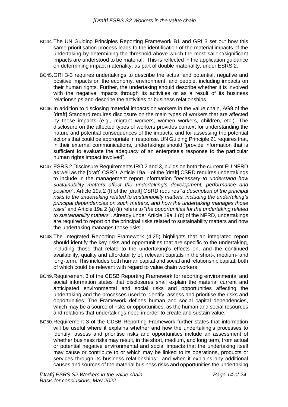- BC44.The UN Guiding Principles Reporting Framework B1 and GRI 3 set out how this same prioritisation process leads to the identification of the material impacts of the undertaking by determining the threshold above which the most salient/significant impacts are understood to be material. This is reflected in the application guidance on determining impact materiality, as part of double materiality, under ESRS 2.
- BC45.GRI 3-3 requires undertakings to describe the actual and potential, negative and positive impacts on the economy, environment, and people, including impacts on their human rights. Further, the undertaking should describe whether it is involved with the negative impacts through its activities or as a result of its business relationships and describe the activities or business relationships.
- BC46.In addition to disclosing material impacts on workers in the value chain, AG9 of the [draft] Standard requires disclosure on the main types of workers that are affected by those impacts (e.g., migrant workers, women workers, children, etc.). The disclosure on the affected types of workers provides context for understanding the nature and potential consequences of the impacts, and for assessing the potential actions that could be appropriate in response. UN Guiding Principle 21 requires that, in their external communications, undertakings should "provide information that is sufficient to evaluate the adequacy of an enterprise's response to the particular human rights impact involved".
- BC47.ESRS 2 Disclosure Requirements IRO 2 and 3, builds on both the current EU NFRD as well as the [draft] CSRD. Article 19a 1 of the [draft] CSRD requires undertakings to include in the management report information "*necessary to understand how sustainability matters affect the undertaking's development, performance and position*". Article 19a 2 (f) of the [draft] CSRD requires "*a description of the principal risks to the undertaking related to sustainability matters, including the undertaking's principal dependencies on such matters, and how the undertaking manages those risks*" and Article 19a 2 (a) (ii) refers to "*the opportunities for the undertaking related to sustainability matters*". Already under Article 19a 1 (d) of the NFRD, undertakings are required to report on the principal risks related to sustainability matters and how the undertaking manages those risks.
- BC48.The Integrated Reporting Framework (4.25) highlights that an integrated report should identify the key risks and opportunities that are specific to the undertaking, including those that relate to the undertaking's effects on, and the continued availability, quality and affordability of, relevant capitals in the short-, medium- and long-term. This includes both human capital and social and relationship capital, both of which could be relevant with regard to value chain workers.
- BC49.Requirement 3 of the CDSB Reporting Framework for reporting environmental and social information states that disclosures shall explain the material current and anticipated environmental and social risks and opportunities affecting the undertaking and the processes used to identify, assess and prioritise the risks and opportunities. The Framework defines human and social capital dependencies, which may be a source of risks or opportunities, as the human and social resources and relations that undertakings need in order to create and sustain value.
- BC50.Requirement 3 of the CDSB Reporting Framework further states that information will be useful where it explains whether and how the undertaking's processes to identify, assess and prioritise risks and opportunities include an assessment of whether business risks may result, in the short, medium, and long term, from actual or potential negative environmental and social impacts that the undertaking itself may cause or contribute to or which may be linked to its operations, products or services through its business relationships; and when it explains any additional causes and sources of the material business risks and opportunities the undertaking

*[Draft] ESRS S2 Workers in the value chain Basis for conclusions, May 2022*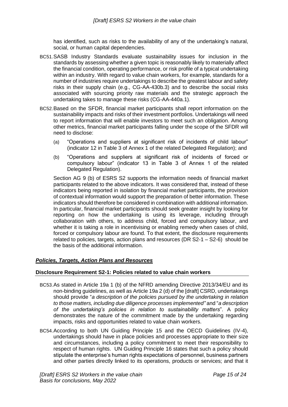has identified, such as risks to the availability of any of the undertaking's natural, social, or human capital dependencies.

- BC51.SASB Industry Standards evaluate sustainability issues for inclusion in the standards by assessing whether a given topic is reasonably likely to materially affect the financial condition, operating performance, or risk profile of a typical undertaking within an industry. With regard to value chain workers, for example, standards for a number of industries require undertakings to describe the greatest labour and safety risks in their supply chain (e.g., CG-AA-430b.3) and to describe the social risks associated with sourcing priority raw materials and the strategic approach the undertaking takes to manage these risks (CG-AA-440a.1).
- BC52.Based on the SFDR, financial market participants shall report information on the sustainability impacts and risks of their investment portfolios. Undertakings will need to report information that will enable investors to meet such an obligation. Among other metrics, financial market participants falling under the scope of the SFDR will need to disclose:
	- (a) "Operations and suppliers at significant risk of incidents of child labour" (indicator 12 in Table 3 of Annex 1 of the related Delegated Regulation); and
	- (b) "Operations and suppliers at significant risk of incidents of forced or compulsory labour" (indicator 13 in Table 3 of Annex 1 of the related Delegated Regulation).

Section AG 9 (b) of ESRS S2 supports the information needs of financial market participants related to the above indicators. It was considered that, instead of these indicators being reported in isolation by financial market participants, the provision of contextual information would support the preparation of better information. These indicators should therefore be considered in combination with additional information. In particular, financial market participants should seek greater insight by looking for reporting on how the undertaking is using its leverage, including through collaboration with others, to address child, forced and compulsory labour, and whether it is taking a role in incentivising or enabling remedy when cases of child, forced or compulsory labour are found. To that extent, the disclosure requirements related to policies, targets, action plans and resources (DR S2-1 – S2-6) should be the basis of the additional information.

#### <span id="page-14-0"></span>*Policies, Targets, Action Plans and Resources*

#### <span id="page-14-1"></span>**Disclosure Requirement S2-1: Policies related to value chain workers**

- BC53.As stated in Article 19a 1 (b) of the NFRD amending Directive 2013/34/EU and its non-binding guidelines, as well as Article 19a 2 (d) of the [draft] CSRD, undertakings should provide "*a description of the policies pursued by the undertaking in relation to those matters, including due diligence processes implemented"* and "*a description of the undertaking's policies in relation to sustainability matters*". A policy demonstrates the nature of the commitment made by the undertaking regarding impacts, risks and opportunities related to value chain workers.
- BC54.According to both UN Guiding Principle 15 and the OECD Guidelines (IV-4), undertakings should have in place policies and processes appropriate to their size and circumstances, including a policy commitment to meet their responsibility to respect of human rights. UN Guiding Principle 16 states that such a policy should stipulate the enterprise's human rights expectations of personnel, business partners and other parties directly linked to its operations, products or services; and that it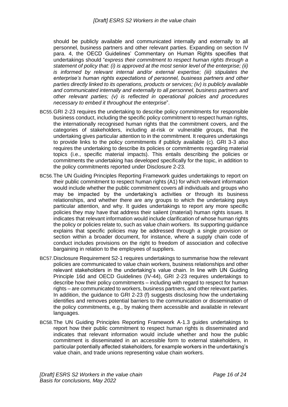should be publicly available and communicated internally and externally to all personnel, business partners and other relevant parties. Expanding on section IV para. 4, the OECD Guidelines' Commentary on Human Rights specifies that undertakings should "*express their commitment to respect human rights through a statement of policy that: (i) is approved at the most senior level of the enterprise; (ii) is informed by relevant internal and/or external expertise; (iii) stipulates the enterprise's human rights expectations of personnel, business partners and other parties directly linked to its operations, products or services; (iv) is publicly available and communicated internally and externally to all personnel, business partners and other relevant parties; (v) is reflected in operational policies and procedures necessary to embed it throughout the enterprise*".

- BC55.GRI 2-23 requires the undertaking to describe policy commitments for responsible business conduct, including the specific policy commitment to respect human rights, the internationally recognised human rights that the commitment covers, and the categories of stakeholders, including at-risk or vulnerable groups, that the undertaking gives particular attention to in the commitment. It requires undertakings to provide links to the policy commitments if publicly available (c). GRI 3-3 also requires the undertaking to describe its policies or commitments regarding material topics (i.e., specific material impacts). This entails describing the policies or commitments the undertaking has developed specifically for the topic, in addition to the policy commitments reported under Disclosure 2-23.
- BC56.The UN Guiding Principles Reporting Framework guides undertakings to report on their public commitment to respect human rights (A1) for which relevant information would include whether the public commitment covers all individuals and groups who may be impacted by the undertaking's activities or through its business relationships, and whether there are any groups to which the undertaking pays particular attention, and why. It guides undertakings to report any more specific policies they may have that address their salient (material) human rights issues. It indicates that relevant information would include clarification of whose human rights the policy or policies relate to, such as value chain workers. Its supporting guidance explains that specific policies may be addressed through a single provision or section within a broader document, for instance, where a supply chain code of conduct includes provisions on the right to freedom of association and collective bargaining in relation to the employees of suppliers.
- BC57.Disclosure Requirement S2-1 requires undertakings to summarise how the relevant policies are communicated to value chain workers, business relationships and other relevant stakeholders in the undertaking's value chain. In line with UN Guiding Principle 16d and OECD Guidelines (IV-44), GRI 2-23 requires undertakings to describe how their policy commitments – including with regard to respect for human rights – are communicated to workers, business partners, and other relevant parties. In addition, the guidance to GRI 2-23 (f) suggests disclosing how the undertaking identifies and removes potential barriers to the communication or dissemination of the policy commitments, e.g., by making them accessible and available in relevant languages.
- BC58.The UN Guiding Principles Reporting Framework A-1.3 guides undertakings to report how their public commitment to respect human rights is disseminated and indicates that relevant information would include whether and how the public commitment is disseminated in an accessible form to external stakeholders, in particular potentially affected stakeholders, for example workers in the undertaking's value chain, and trade unions representing value chain workers.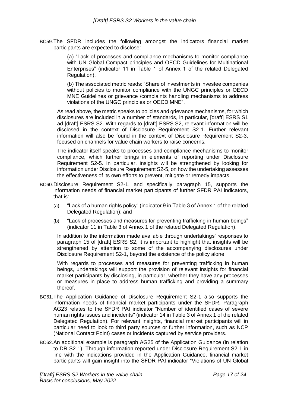BC59.The SFDR includes the following amongst the indicators financial market participants are expected to disclose:

> (a) "Lack of processes and compliance mechanisms to monitor compliance with UN Global Compact principles and OECD Guidelines for Multinational Enterprises" (indicator 11 in Table 1 of Annex 1 of the related Delegated Regulation).

> (b) The associated metric reads: "Share of investments in investee companies without policies to monitor compliance with the UNGC principles or OECD MNE Guidelines or grievance /complaints handling mechanisms to address violations of the UNGC principles or OECD MNE".

As read above, the metric speaks to policies and grievance mechanisms, for which disclosures are included in a number of standards, in particular, [draft] ESRS S1 ad [draft] ESRS S2. With regards to [draft] ESRS S2, relevant information will be disclosed in the context of Disclosure Requirement S2-1. Further relevant information will also be found in the context of Disclosure Requirement S2-3, focused on channels for value chain workers to raise concerns.

The indicator itself speaks to processes and compliance mechanisms to monitor compliance, which further brings in elements of reporting under Disclosure Requirement S2-5. In particular, insights will be strengthened by looking for information under Disclosure Requirement S2-5, on how the undertaking assesses the effectiveness of its own efforts to prevent, mitigate or remedy impacts.

- BC60.Disclosure Requirement S2-1, and specifically paragraph 15, supports the information needs of financial market participants of further SFDR PAI indicators, that is:
	- (a) "Lack of a human rights policy" (indicator 9 in Table 3 of Annex 1 of the related Delegated Regulation); and
	- (b) "Lack of processes and measures for preventing trafficking in human beings" (indicator 11 in Table 3 of Annex 1 of the related Delegated Regulation).

In addition to the information made available through undertakings' responses to paragraph 15 of [draft] ESRS S2, it is important to highlight that insights will be strengthened by attention to some of the accompanying disclosures under Disclosure Requirement S2-1, beyond the existence of the policy alone.

With regards to processes and measures for preventing trafficking in human beings, undertakings will support the provision of relevant insights for financial market participants by disclosing, in particular, whether they have any processes or measures in place to address human trafficking and providing a summary thereof.

- BC61.The Application Guidance of Disclosure Requirement S2-1 also supports the information needs of financial market participants under the SFDR. Paragraph AG23 relates to the SFDR PAI indicator "Number of identified cases of severe human rights issues and incidents'' (indicator 14 in Table 3 of Annex 1 of the related Delegated Regulation). For relevant insights, financial market participants will in particular need to look to third party sources or further information, such as NCP (National Contact Point) cases or incidents captured by service providers.
- BC62.An additional example is paragraph AG25 of the Application Guidance (in relation to DR S2-1). Through information reported under Disclosure Requirement S2-1 in line with the indications provided in the Application Guidance, financial market participants will gain insight into the SFDR PAI indicator "Violations of UN Global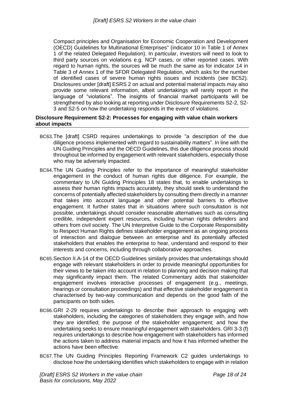Compact principles and Organisation for Economic Cooperation and Development (OECD) Guidelines for Multinational Enterprises'' (indicator 10 in Table 1 of Annex 1 of the related Delegated Regulation). In particular, investors will need to look to third party sources on violations e.g. NCP cases, or other reported cases. With regard to human rights, the sources will be much the same as for indicator 14 in Table 3 of Annex 1 of the SFDR Delegated Regulation, which asks for the number of identified cases of severe human rights issues and incidents (see BC52). Disclosures under [draft] ESRS 2 on actual and potential material impacts may also provide some relevant information, albeit undertakings will rarely report in the language of "violations". The insights of financial market participants will be strengthened by also looking at reporting under Disclosure Requirements S2-2, S2- 3 and S2-5 on how the undertaking responds in the event of violations.

#### <span id="page-17-0"></span>**Disclosure Requirement S2-2: Processes for engaging with value chain workers about impacts**

- BC63.The [draft] CSRD requires undertakings to provide "a description of the due diligence process implemented with regard to sustainability matters". In line with the UN Guiding Principles and the OECD Guidelines, this due diligence process should throughout be informed by engagement with relevant stakeholders, especially those who may be adversely impacted.
- BC64.The UN Guiding Principles refer to the importance of meaningful stakeholder engagement in the conduct of human rights due diligence. For example, the commentary to UN Guiding Principles 18 states that, to enable undertakings to assess their human rights impacts accurately, they should seek to understand the concerns of potentially affected stakeholders by consulting them directly in a manner that takes into account language and other potential barriers to effective engagement. It further states that in situations where such consultation is not possible, undertakings should consider reasonable alternatives such as consulting credible, independent expert resources, including human rights defenders and others from civil society. The UN Interpretive Guide to the Corporate Responsibility to Respect Human Rights defines stakeholder engagement as an ongoing process of interaction and dialogue between an enterprise and its potentially affected stakeholders that enables the enterprise to hear, understand and respond to their interests and concerns, including through collaborative approaches.
- BC65.Section II.A-14 of the OECD Guidelines similarly provides that undertakings should engage with relevant stakeholders in order to provide meaningful opportunities for their views to be taken into account in relation to planning and decision making that may significantly impact them. The related Commentary adds that stakeholder engagement involves interactive processes of engagement (e.g., meetings, hearings or consultation proceedings) and that effective stakeholder engagement is characterised by two-way communication and depends on the good faith of the participants on both sides.
- BC66.GRI 2-29 requires undertakings to describe their approach to engaging with stakeholders, including the categories of stakeholders they engage with, and how they are identified; the purpose of the stakeholder engagement; and how the undertaking seeks to ensure meaningful engagement with stakeholders. GRI 3-3 (f) requires undertakings to describe how engagement with stakeholders has informed the actions taken to address material impacts and how it has informed whether the actions have been effective.
- BC67.The UN Guiding Principles Reporting Framework C2 guides undertakings to disclose how the undertaking identifies which stakeholders to engage with in relation

*[Draft] ESRS S2 Workers in the value chain Basis for conclusions, May 2022*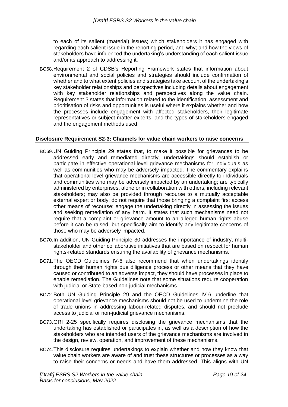to each of its salient (material) issues; which stakeholders it has engaged with regarding each salient issue in the reporting period, and why; and how the views of stakeholders have influenced the undertaking's understanding of each salient issue and/or its approach to addressing it.

BC68.Requirement 2 of CDSB's Reporting Framework states that information about environmental and social policies and strategies should include confirmation of whether and to what extent policies and strategies take account of the undertaking's key stakeholder relationships and perspectives including details about engagement with key stakeholder relationships and perspectives along the value chain. Requirement 3 states that information related to the identification, assessment and prioritisation of risks and opportunities is useful where it explains whether and how the processes include engagement with affected stakeholders, their legitimate representatives or subject matter experts, and the types of stakeholders engaged and the engagement methods used.

#### <span id="page-18-0"></span>**Disclosure Requirement S2-3: Channels for value chain workers to raise concerns**

- BC69.UN Guiding Principle 29 states that, to make it possible for grievances to be addressed early and remediated directly, undertakings should establish or participate in effective operational-level grievance mechanisms for individuals as well as communities who may be adversely impacted. The commentary explains that operational-level grievance mechanisms are accessible directly to individuals and communities who may be adversely impacted by an undertaking; are typically administered by enterprises, alone or in collaboration with others, including relevant stakeholders; may also be provided through recourse to a mutually acceptable external expert or body; do not require that those bringing a complaint first access other means of recourse; engage the undertaking directly in assessing the issues and seeking remediation of any harm. It states that such mechanisms need not require that a complaint or grievance amount to an alleged human rights abuse before it can be raised, but specifically aim to identify any legitimate concerns of those who may be adversely impacted.
- BC70.In addition, UN Guiding Principle 30 addresses the importance of industry, multistakeholder and other collaborative initiatives that are based on respect for human rights-related standards ensuring the availability of grievance mechanisms.
- BC71.The OECD Guidelines IV-6 also recommend that when undertakings identify through their human rights due diligence process or other means that they have caused or contributed to an adverse impact, they should have processes in place to enable remediation. The Guidelines note that some situations require cooperation with judicial or State-based non-judicial mechanisms.
- BC72.Both UN Guiding Principle 29 and the OECD Guidelines IV-6 underline that operational-level grievance mechanisms should not be used to undermine the role of trade unions in addressing labour-related disputes, and should not preclude access to judicial or non-judicial grievance mechanisms.
- BC73.GRI 2-25 specifically requires disclosing the grievance mechanisms that the undertaking has established or participates in, as well as a description of how the stakeholders who are intended users of the grievance mechanisms are involved in the design, review, operation, and improvement of these mechanisms.
- BC74.This disclosure requires undertakings to explain whether and how they know that value chain workers are aware of and trust these structures or processes as a way to raise their concerns or needs and have them addressed. This aligns with UN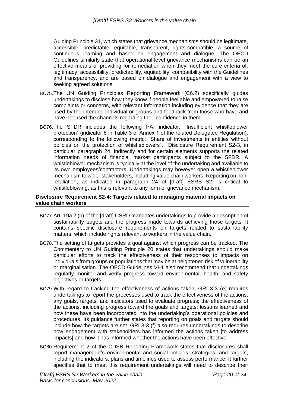Guiding Principle 31, which states that grievance mechanisms should be legitimate, accessible, predictable, equitable, transparent, rights-compatible, a source of continuous learning and based on engagement and dialogue. The OECD Guidelines similarly state that operational-level grievance mechanisms can be an effective means of providing for remediation when they meet the core criteria of: legitimacy, accessibility, predictability, equitability, compatibility with the Guidelines and transparency, and are based on dialogue and engagement with a view to seeking agreed solutions.

- BC75.The UN Guiding Principles Reporting Framework (C6.2) specifically guides undertakings to disclose how they know if people feel able and empowered to raise complaints or concerns, with relevant information including evidence that they are used by the intended individual or groups and feedback from those who have and have not used the channels regarding their confidence in them.
- BC76.The SFDR includes the following PAI indicator: "Insufficient whistleblower protection" (indicator 6 in Table 3 of Annex 1 of the related Delegated Regulation), corresponding to the following metric: "Share of investments in entities without policies on the protection of whistleblowers". Disclosure Requirement S2-3, in particular paragraph 24, indirectly and for certain elements supports the related information needs of financial market participants subject to the SFDR. A whistleblower mechanism is typically at the level of the undertaking and available to its own employees/contractors. Undertakings may however open a whistleblower mechanism to wider stakeholders, including value chain workers. Reporting on nonretaliation, as indicated in paragraph 24 of [draft] ESRS S2, is critical to whistleblowing, as this is relevant to any form of grievance mechanism.

#### <span id="page-19-0"></span>**Disclosure Requirement S2-4: Targets related to managing material impacts on value chain workers**

- BC77.Art. 19a 2 (b) of the [draft] CSRD mandates undertakings to provide a description of sustainability targets and the progress made towards achieving those targets. It contains specific disclosure requirements on targets related to sustainability matters, which include rights relevant to workers in the value chain.
- BC78.The setting of targets provides a goal against which progress can be tracked. The Commentary to UN Guiding Principle 20 states that undertakings should make particular efforts to track the effectiveness of their responses to impacts on individuals from groups or populations that may be at heightened risk of vulnerability or marginalisation. The OECD Guidelines VI-1 also recommend that undertakings regularly monitor and verify progress toward environmental, health, and safety objectives or targets.
- BC79.With regard to tracking the effectiveness of actions taken, GRI 3-3 (e) requires undertakings to report the processes used to track the effectiveness of the actions; any goals, targets, and indicators used to evaluate progress; the effectiveness of the actions, including progress toward the goals and targets; lessons learned and how these have been incorporated into the undertaking's operational policies and procedures. Its guidance further states that reporting on goals and targets should include how the targets are set. GRI 3-3 (f) also requires undertakings to describe how engagement with stakeholders has informed the actions taken [to address impacts] and how it has informed whether the actions have been effective.
- BC80.Requirement 2 of the CDSB Reporting Framework states that disclosures shall report management's environmental and social policies, strategies, and targets, including the indicators, plans and timelines used to assess performance. It further specifies that to meet this requirement undertakings will need to describe their

*[Draft] ESRS S2 Workers in the value chain Basis for conclusions, May 2022*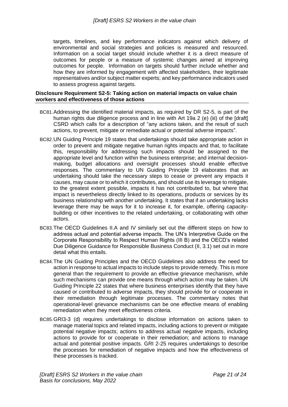targets, timelines, and key performance indicators against which delivery of environmental and social strategies and policies is measured and resourced. Information on a social target should include whether it is a direct measure of outcomes for people or a measure of systemic changes aimed at improving outcomes for people. Information on targets should further include whether and how they are informed by engagement with affected stakeholders, their legitimate representatives and/or subject matter experts; and key performance indicators used to assess progress against targets.

#### <span id="page-20-0"></span>**Disclosure Requirement S2-5: Taking action on material impacts on value chain workers and effectiveness of those actions**

- BC81.Addressing the identified material impacts, as required by DR S2-5, is part of the human rights due diligence process and in line with Art 19a 2 (e) (iii) of the [draft] CSRD which calls for a description of "any actions taken, and the result of such actions, to prevent, mitigate or remediate actual or potential adverse impacts".
- BC82.UN Guiding Principle 19 states that undertakings should take appropriate action in order to prevent and mitigate negative human rights impacts and that, to facilitate this, responsibility for addressing such impacts should be assigned to the appropriate level and function within the business enterprise; and internal decisionmaking, budget allocations and oversight processes should enable effective responses. The commentary to UN Guiding Principle 19 elaborates that an undertaking should take the necessary steps to cease or prevent any impacts it causes, may cause or to which it contributes, and should use its leverage to mitigate, to the greatest extent possible, impacts it has not contributed to, but where that impact is nevertheless directly linked to its operations, products or services by its business relationship with another undertaking. It states that if an undertaking lacks leverage there may be ways for it to increase it, for example, offering capacitybuilding or other incentives to the related undertaking, or collaborating with other actors.
- BC83.The OECD Guidelines II.A and IV similarly set out the different steps on how to address actual and potential adverse impacts. The UN's Interpretive Guide on the Corporate Responsibility to Respect Human Rights (III B) and the OECD's related Due Diligence Guidance for Responsible Business Conduct (II, 3.1) set out in more detail what this entails.
- BC84.The UN Guiding Principles and the OECD Guidelines also address the need for action in response to actual impacts to include steps to provide remedy. This is more general than the requirement to provide an effective grievance mechanism, while such mechanisms can provide one means through which action may be taken. UN Guiding Principle 22 states that where business enterprises identify that they have caused or contributed to adverse impacts, they should provide for or cooperate in their remediation through legitimate processes. The commentary notes that operational-level grievance mechanisms can be one effective means of enabling remediation when they meet effectiveness criteria.
- BC85.GRI3-3 (d) requires undertakings to disclose information on actions taken to manage material topics and related impacts, including actions to prevent or mitigate potential negative impacts; actions to address actual negative impacts, including actions to provide for or cooperate in their remediation; and actions to manage actual and potential positive impacts. GRI 2-25 requires undertakings to describe the processes for remediation of negative impacts and how the effectiveness of these processes is tracked.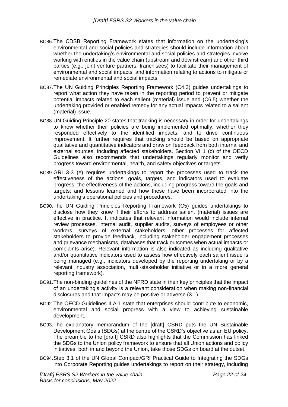- BC86.The CDSB Reporting Framework states that information on the undertaking's environmental and social policies and strategies should include information about whether the undertaking's environmental and social policies and strategies involve working with entities in the value chain (upstream and downstream) and other third parties (e.g., joint venture partners, franchisees) to facilitate their management of environmental and social impacts; and information relating to actions to mitigate or remediate environmental and social impacts.
- BC87.The UN Guiding Principles Reporting Framework (C4.3) guides undertakings to report what action they have taken in the reporting period to prevent or mitigate potential impacts related to each salient (material) issue and (C6.5) whether the undertaking provided or enabled remedy for any actual impacts related to a salient (material) issue.
- BC88.UN Guiding Principle 20 states that tracking is necessary in order for undertakings to know whether their policies are being implemented optimally, whether they responded effectively to the identified impacts, and to drive continuous improvement. It further requires that tracking should be based on appropriate qualitative and quantitative indicators and draw on feedback from both internal and external sources, including affected stakeholders. Section VI 1 (c) of the OECD Guidelines also recommends that undertakings regularly monitor and verify progress toward environmental, health, and safety objectives or targets.
- BC89.GRI 3-3 (e) requires undertakings to report the processes used to track the effectiveness of the actions; goals, targets, and indicators used to evaluate progress; the effectiveness of the actions, including progress toward the goals and targets; and lessons learned and how these have been incorporated into the undertaking's operational policies and procedures.
- BC90.The UN Guiding Principles Reporting Framework (C5) guides undertakings to disclose how they know if their efforts to address salient (material) issues are effective in practice. It indicates that relevant information would include internal review processes, internal audit, supplier audits, surveys of employees or other workers, surveys of external stakeholders, other processes for affected stakeholders to provide feedback, including stakeholder engagement processes and grievance mechanisms, databases that track outcomes when actual impacts or complaints arise). Relevant information is also indicated as including qualitative and/or quantitative indicators used to assess how effectively each salient issue is being managed (e.g., indicators developed by the reporting undertaking or by a relevant industry association, multi-stakeholder initiative or in a more general reporting framework).
- BC91.The non-binding guidelines of the NFRD state in their key principles that the impact of an undertaking's activity is a relevant consideration when making non-financial disclosures and that impacts may be positive or adverse (3.1).
- BC92.The OECD Guidelines II.A-1 state that enterprises should contribute to economic, environmental and social progress with a view to achieving sustainable development.
- BC93.The explanatory memorandum of the [draft] CSRD puts the UN Sustainable Development Goals (SDGs) at the centre of the CSRD's objective as an EU policy. The preamble to the [draft] CSRD also highlights that the Commission has linked the SDGs to the Union policy framework to ensure that all Union actions and policy initiatives, both in and beyond the Union, take those SDGs on board at the outset.
- BC94.Step 3.1 of the UN Global Compact/GRI Practical Guide to Integrating the SDGs into Corporate Reporting guides undertakings to report on their strategy, including

*[Draft] ESRS S2 Workers in the value chain Basis for conclusions, May 2022*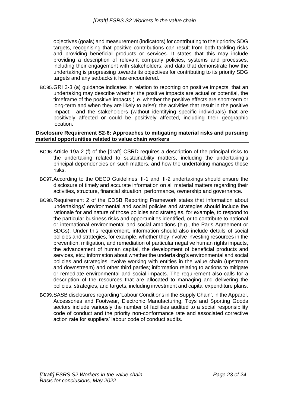objectives (goals) and measurement (indicators) for contributing to their priority SDG targets, recognising that positive contributions can result from both tackling risks and providing beneficial products or services. It states that this may include providing a description of relevant company policies, systems and processes, including their engagement with stakeholders; and data that demonstrate how the undertaking is progressing towards its objectives for contributing to its priority SDG targets and any setbacks it has encountered.

BC95.GRI 3-3 (a) guidance indicates in relation to reporting on positive impacts, that an undertaking may describe whether the positive impacts are actual or potential, the timeframe of the positive impacts (i.e. whether the positive effects are short-term or long-term and when they are likely to arise); the activities that result in the positive impact; and the stakeholders (without identifying specific individuals) that are positively affected or could be positively affected, including their geographic location.

#### <span id="page-22-0"></span>**Disclosure Requirement S2-6: Approaches to mitigating material risks and pursuing material opportunities related to value chain workers**

- BC96.Article 19a 2 (f) of the [draft] CSRD requires a description of the principal risks to the undertaking related to sustainability matters, including the undertaking's principal dependencies on such matters, and how the undertaking manages those risks.
- BC97.According to the OECD Guidelines III-1 and III-2 undertakings should ensure the disclosure of timely and accurate information on all material matters regarding their activities, structure, financial situation, performance, ownership and governance.
- BC98.Requirement 2 of the CDSB Reporting Framework states that information about undertakings' environmental and social policies and strategies should include the rationale for and nature of those policies and strategies, for example, to respond to the particular business risks and opportunities identified, or to contribute to national or international environmental and social ambitions (e.g., the Paris Agreement or SDGs). Under this requirement, information should also include details of social policies and strategies, for example, whether they involve investing resources in the prevention, mitigation, and remediation of particular negative human rights impacts, the advancement of human capital, the development of beneficial products and services, etc.; information about whether the undertaking's environmental and social policies and strategies involve working with entities in the value chain (upstream and downstream) and other third parties; information relating to actions to mitigate or remediate environmental and social impacts. The requirement also calls for a description of the resources that are allocated to managing and delivering the policies, strategies, and targets, including investment and capital expenditure plans.
- BC99.SASB disclosures regarding 'Labour Conditions in the Supply Chain', in the Apparel, Accessories and Footwear, Electronic Manufacturing, Toys and Sporting Goods sectors include variously the number of facilities audited to a social responsibility code of conduct and the priority non-conformance rate and associated corrective action rate for suppliers' labour code of conduct audits.